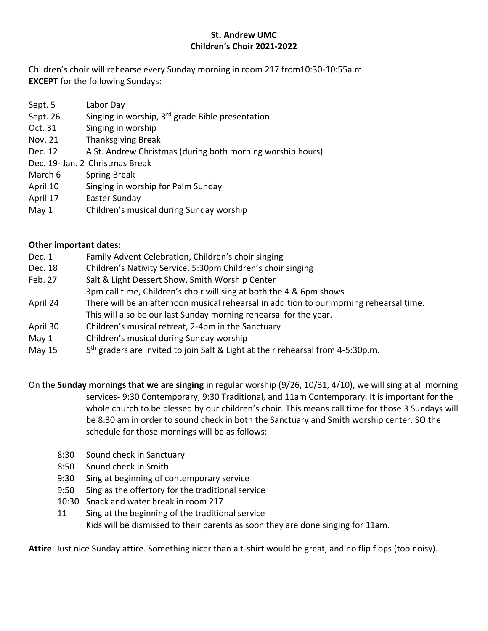## **St. Andrew UMC Children's Choir 2021-2022**

Children's choir will rehearse every Sunday morning in room 217 from10:30-10:55a.m **EXCEPT** for the following Sundays:

- Sept. 5 Labor Day
- Sept. 26 Singing in worship,  $3^{rd}$  grade Bible presentation
- Oct. 31 Singing in worship
- Nov. 21 Thanksgiving Break
- Dec. 12 A St. Andrew Christmas (during both morning worship hours)
- Dec. 19- Jan. 2 Christmas Break
- March 6 Spring Break
- April 10 Singing in worship for Palm Sunday
- April 17 Easter Sunday
- May 1 Children's musical during Sunday worship

## **Other important dates:**

- Dec. 1 Family Advent Celebration, Children's choir singing
- Dec. 18 Children's Nativity Service, 5:30pm Children's choir singing
- Feb. 27 Salt & Light Dessert Show, Smith Worship Center
- 3pm call time, Children's choir will sing at both the 4 & 6pm shows
- April 24 There will be an afternoon musical rehearsal in addition to our morning rehearsal time. This will also be our last Sunday morning rehearsal for the year.
- April 30 Children's musical retreat, 2-4pm in the Sanctuary
- May 1 Children's musical during Sunday worship
- May  $15$ 5<sup>th</sup> graders are invited to join Salt & Light at their rehearsal from 4-5:30p.m.

On the **Sunday mornings that we are singing** in regular worship (9/26, 10/31, 4/10), we will sing at all morning services- 9:30 Contemporary, 9:30 Traditional, and 11am Contemporary. It is important for the whole church to be blessed by our children's choir. This means call time for those 3 Sundays will be 8:30 am in order to sound check in both the Sanctuary and Smith worship center. SO the schedule for those mornings will be as follows:

- 8:30 Sound check in Sanctuary
- 8:50 Sound check in Smith
- 9:30 Sing at beginning of contemporary service
- 9:50 Sing as the offertory for the traditional service
- 10:30 Snack and water break in room 217
- 11 Sing at the beginning of the traditional service Kids will be dismissed to their parents as soon they are done singing for 11am.

**Attire**: Just nice Sunday attire. Something nicer than a t-shirt would be great, and no flip flops (too noisy).